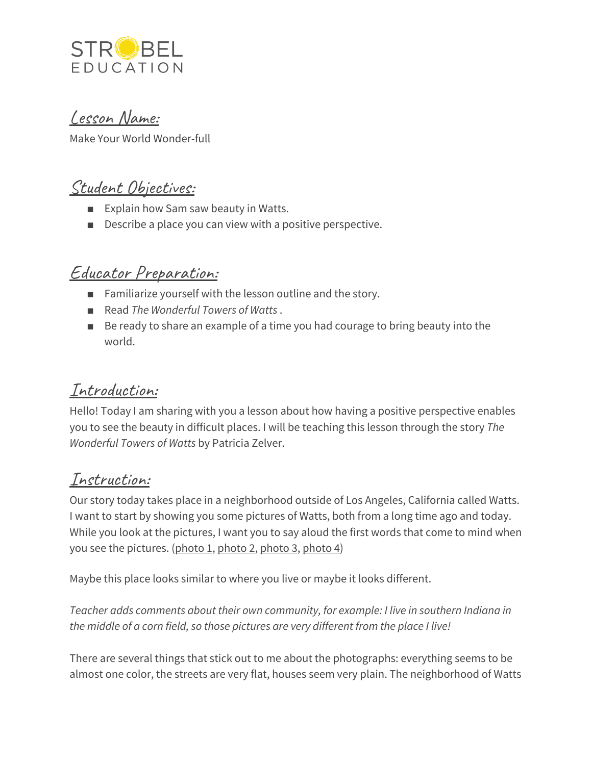

#### Lesson Name:

Make Your World Wonder-full

## Student Objectives:

- Explain how Sam saw beauty in Watts.
- Describe a place you can view with a positive perspective.

### Educator Preparation:

- Familiarize yourself with the lesson outline and the story.
- Read *The Wonderful Towers of Watts*.
- Be ready to share an example of a time you had courage to bring beauty into the world.

#### Introduction:

Hello! Today I am sharing with you a lesson about how having a positive perspective enables you to see the beauty in difficult places. I will be teaching this lesson through the story *The Wonderful Towers of Watts* by Patricia Zelver.

#### Instruction:

Our story today takes place in a neighborhood outside of Los Angeles, California called Watts. I want to start by showing you some pictures of Watts, both from a long time ago and today. While you look at the pictures, I want you to say aloud the first words that come to mind when you see the pictures. ([photo](https://www.johnhumble.com/wp-content/uploads/2011/04/View-North-of-Watts-from-I-105-Watts-January-27-1995.jpg) 1, photo 2, photo 3, photo 4)

Maybe this place looks similar to where you live or maybe it looks different.

*Teacher adds comments about their own community, for example: I live in southern Indiana in the middle of a corn field, so those pictures are very different from the place I live!*

There are several things that stick out to me about the photographs: everything seems to be almost one color, the streets are very flat, houses seem very plain. The neighborhood of Watts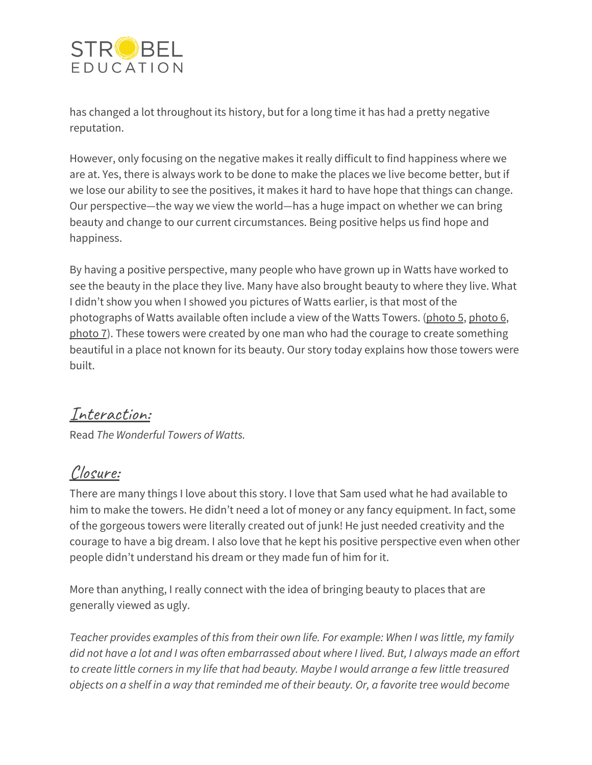

has changed a lot throughout its history, but for a long time it has had a pretty negative reputation.

However, only focusing on the negative makes it really difficult to find happiness where we are at. Yes, there is always work to be done to make the places we live become better, but if we lose our ability to see the positives, it makes it hard to have hope that things can change. Our perspective—the way we view the world—has a huge impact on whether we can bring beauty and change to our current circumstances. Being positive helps us find hope and happiness.

By having a positive perspective, many people who have grown up in Watts have worked to see the beauty in the place they live. Many have also brought beauty to where they live. What I didn't show you when I showed you pictures of Watts earlier, is that most of the [photo](https://flickr.com/photos/moopus/8174157102/)graphs of Watts available often include a view of the Watts Towers. (photo 5, photo 6, [photo](https://flickr.com/photos/fe2cruz/37576894042/) 7). These towers were created by one man who had the courage to create something beautiful in a place not known for its beauty. Our story today explains how those towers were built.

#### Interaction:

Read *The Wonderful Towers of Watts.*

# Closure:

There are many things I love about this story. I love that Sam used what he had available to him to make the towers. He didn't need a lot of money or any fancy equipment. In fact, some of the gorgeous towers were literally created out of junk! He just needed creativity and the courage to have a big dream. I also love that he kept his positive perspective even when other people didn't understand his dream or they made fun of him for it.

More than anything, I really connect with the idea of bringing beauty to places that are generally viewed as ugly.

*Teacher provides examples of this from their own life. For example: When I was little, my family* did not have a lot and I was often embarrassed about where I lived. But, I always made an effort *to create little corners in my life that had beauty. Maybe I would arrange a few little treasured* objects on a shelf in a way that reminded me of their beauty. Or, a favorite tree would become